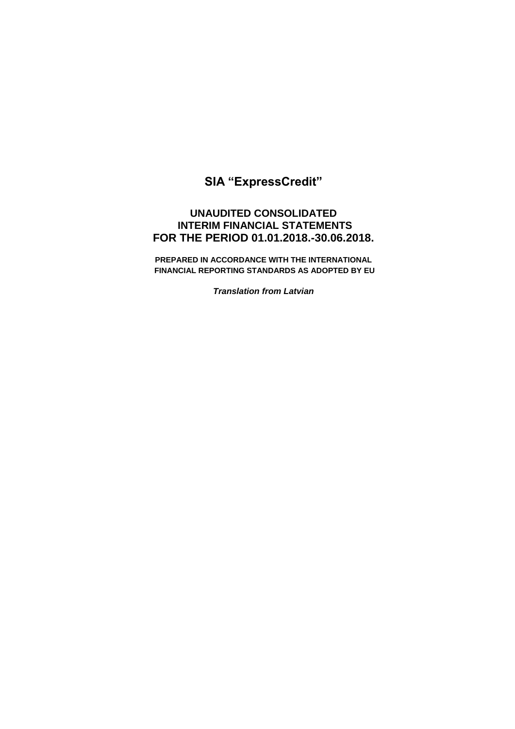# **SIA "ExpressCredit"**

# **UNAUDITED CONSOLIDATED INTERIM FINANCIAL STATEMENTS FOR THE PERIOD 01.01.2018.-30.06.2018.**

**PREPARED IN ACCORDANCE WITH THE INTERNATIONAL FINANCIAL REPORTING STANDARDS AS ADOPTED BY EU** 

*Translation from Latvian*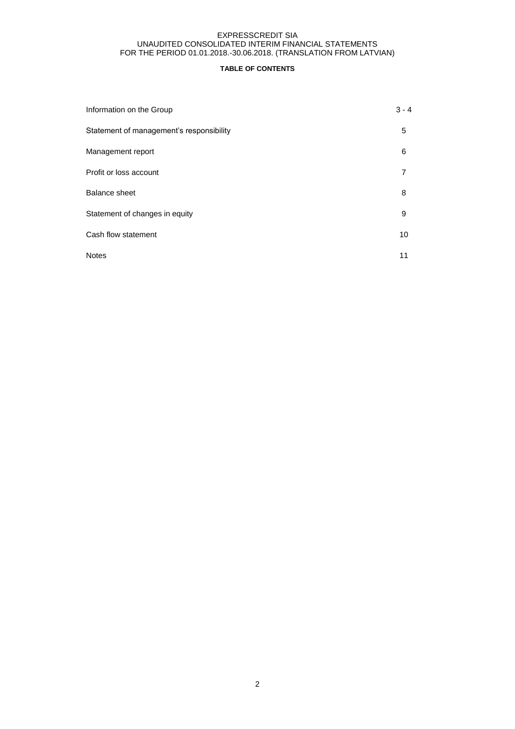## **TABLE OF CONTENTS**

| Information on the Group                 | $3 - 4$ |
|------------------------------------------|---------|
| Statement of management's responsibility | 5       |
| Management report                        | 6       |
| Profit or loss account                   |         |
| Balance sheet                            | 8       |
| Statement of changes in equity           | 9       |
| Cash flow statement                      | 10      |
| <b>Notes</b>                             | 11      |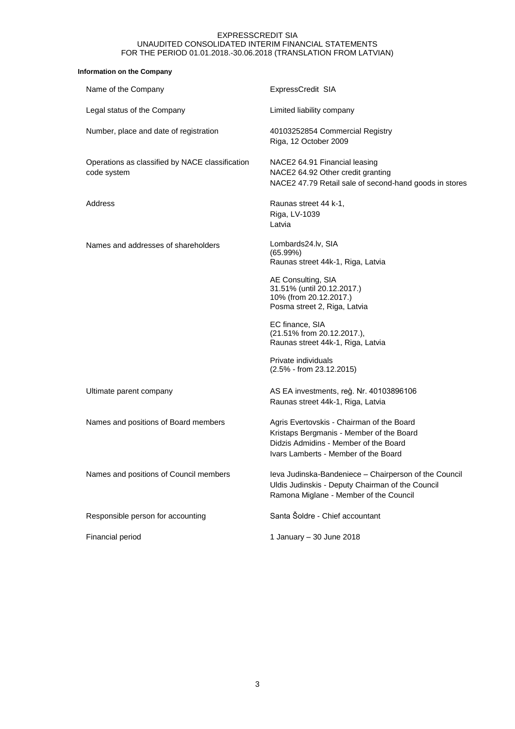## **Information on the Company**

| Name of the Company                                            | ExpressCredit SIA                                                                                                                                                      |
|----------------------------------------------------------------|------------------------------------------------------------------------------------------------------------------------------------------------------------------------|
| Legal status of the Company                                    | Limited liability company                                                                                                                                              |
| Number, place and date of registration                         | 40103252854 Commercial Registry<br>Riga, 12 October 2009                                                                                                               |
| Operations as classified by NACE classification<br>code system | NACE2 64.91 Financial leasing<br>NACE2 64.92 Other credit granting<br>NACE2 47.79 Retail sale of second-hand goods in stores                                           |
| Address                                                        | Raunas street 44 k-1,<br>Riga, LV-1039<br>Latvia                                                                                                                       |
| Names and addresses of shareholders                            | Lombards24.lv, SIA<br>(65.99%)<br>Raunas street 44k-1, Riga, Latvia                                                                                                    |
|                                                                | AE Consulting, SIA<br>31.51% (until 20.12.2017.)<br>10% (from 20.12.2017.)<br>Posma street 2, Riga, Latvia                                                             |
|                                                                | EC finance, SIA<br>(21.51% from 20.12.2017.),<br>Raunas street 44k-1, Riga, Latvia                                                                                     |
|                                                                | Private individuals<br>$(2.5\% - from 23.12.2015)$                                                                                                                     |
| Ultimate parent company                                        | AS EA investments, reģ. Nr. 40103896106<br>Raunas street 44k-1, Riga, Latvia                                                                                           |
| Names and positions of Board members                           | Agris Evertovskis - Chairman of the Board<br>Kristaps Bergmanis - Member of the Board<br>Didzis Admidins - Member of the Board<br>Ivars Lamberts - Member of the Board |
| Names and positions of Council members                         | Ieva Judinska-Bandeniece - Chairperson of the Council<br>Uldis Judinskis - Deputy Chairman of the Council<br>Ramona Miglane - Member of the Council                    |
| Responsible person for accounting                              | Santa Šoldre - Chief accountant                                                                                                                                        |
| Financial period                                               | 1 January - 30 June 2018                                                                                                                                               |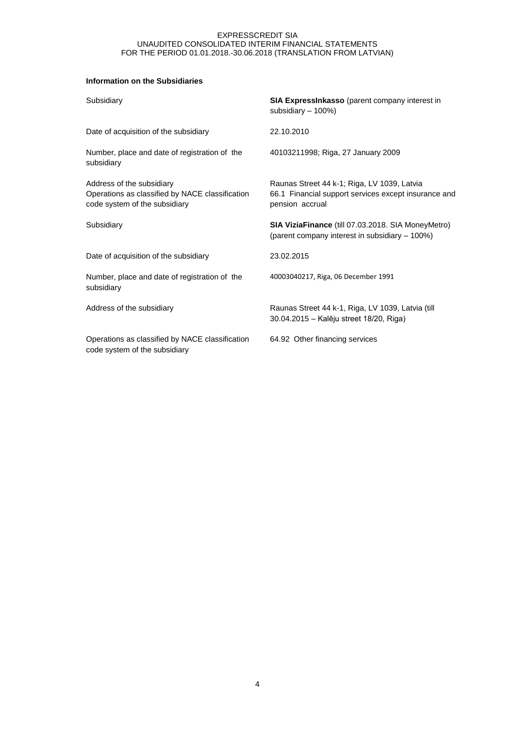# **Information on the Subsidiaries**

| Subsidiary                                                                                                    | <b>SIA ExpressInkasso</b> (parent company interest in<br>subsidiary - 100%)                                            |
|---------------------------------------------------------------------------------------------------------------|------------------------------------------------------------------------------------------------------------------------|
| Date of acquisition of the subsidiary                                                                         | 22.10.2010                                                                                                             |
| Number, place and date of registration of the<br>subsidiary                                                   | 40103211998; Riga, 27 January 2009                                                                                     |
| Address of the subsidiary<br>Operations as classified by NACE classification<br>code system of the subsidiary | Raunas Street 44 k-1; Riga, LV 1039, Latvia<br>66.1 Financial support services except insurance and<br>pension accrual |
| Subsidiary                                                                                                    | SIA ViziaFinance (till 07.03.2018. SIA MoneyMetro)<br>(parent company interest in subsidiary - 100%)                   |
| Date of acquisition of the subsidiary                                                                         | 23.02.2015                                                                                                             |
| Number, place and date of registration of the<br>subsidiary                                                   | 40003040217, Riga, 06 December 1991                                                                                    |
| Address of the subsidiary                                                                                     | Raunas Street 44 k-1, Riga, LV 1039, Latvia (till<br>30.04.2015 - Kalēju street 18/20, Riga)                           |
| Operations as classified by NACE classification<br>code system of the subsidiary                              | 64.92 Other financing services                                                                                         |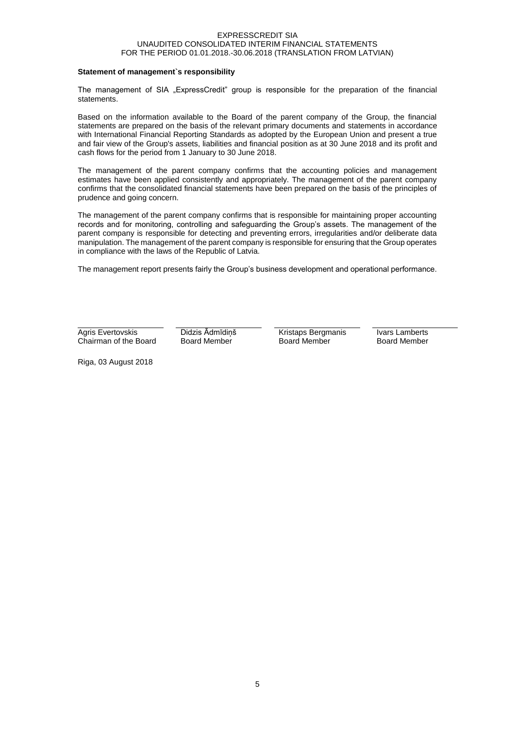#### **Statement of management`s responsibility**

The management of SIA "ExpressCredit" group is responsible for the preparation of the financial statements.

Based on the information available to the Board of the parent company of the Group, the financial statements are prepared on the basis of the relevant primary documents and statements in accordance with International Financial Reporting Standards as adopted by the European Union and present a true and fair view of the Group's assets, liabilities and financial position as at 30 June 2018 and its profit and cash flows for the period from 1 January to 30 June 2018.

The management of the parent company confirms that the accounting policies and management estimates have been applied consistently and appropriately. The management of the parent company confirms that the consolidated financial statements have been prepared on the basis of the principles of prudence and going concern.

The management of the parent company confirms that is responsible for maintaining proper accounting records and for monitoring, controlling and safeguarding the Group's assets. The management of the parent company is responsible for detecting and preventing errors, irregularities and/or deliberate data manipulation. The management of the parent company is responsible for ensuring that the Group operates in compliance with the laws of the Republic of Latvia.

The management report presents fairly the Group's business development and operational performance.

Agris Evertovskis Chairman of the Board Didzis Ādmīdiņš Board Member

Kristaps Bergmanis Board Member

Ivars Lamberts Board Member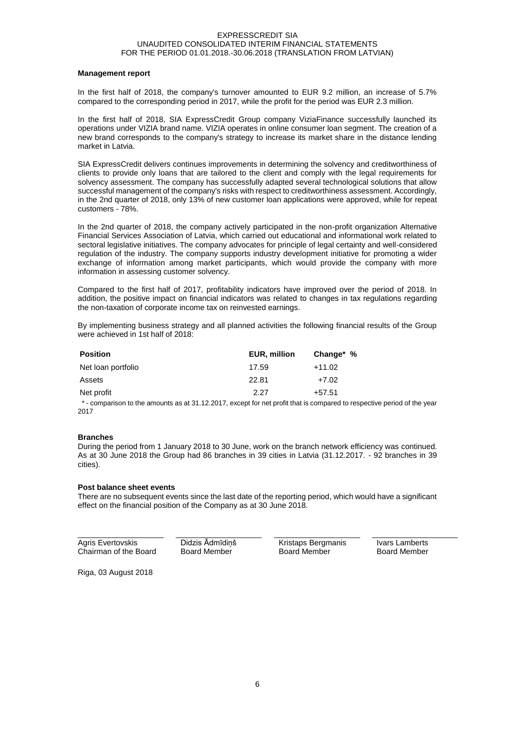#### **Management report**

In the first half of 2018, the company's turnover amounted to EUR 9.2 million, an increase of 5.7% compared to the corresponding period in 2017, while the profit for the period was EUR 2.3 million.

In the first half of 2018, SIA ExpressCredit Group company ViziaFinance successfully launched its operations under VIZIA brand name. VIZIA operates in online consumer loan segment. The creation of a new brand corresponds to the company's strategy to increase its market share in the distance lending market in Latvia.

SIA ExpressCredit delivers continues improvements in determining the solvency and creditworthiness of clients to provide only loans that are tailored to the client and comply with the legal requirements for solvency assessment. The company has successfully adapted several technological solutions that allow successful management of the company's risks with respect to creditworthiness assessment. Accordingly, in the 2nd quarter of 2018, only 13% of new customer loan applications were approved, while for repeat customers - 78%.

In the 2nd quarter of 2018, the company actively participated in the non-profit organization Alternative Financial Services Association of Latvia, which carried out educational and informational work related to sectoral legislative initiatives. The company advocates for principle of legal certainty and well-considered regulation of the industry. The company supports industry development initiative for promoting a wider exchange of information among market participants, which would provide the company with more information in assessing customer solvency.

Compared to the first half of 2017, profitability indicators have improved over the period of 2018. In addition, the positive impact on financial indicators was related to changes in tax regulations regarding the non-taxation of corporate income tax on reinvested earnings.

By implementing business strategy and all planned activities the following financial results of the Group were achieved in 1st half of 2018:

| <b>Position</b>    | EUR, million | Change* % |
|--------------------|--------------|-----------|
| Net loan portfolio | 17.59        | $+11.02$  |
| Assets             | 22.81        | $+7.02$   |
| Net profit         | 2.27         | $+57.51$  |

 \* - comparison to the amounts as at 31.12.2017, except for net profit that is compared to respective period of the year 2017

#### **Branches**

During the period from 1 January 2018 to 30 June, work on the branch network efficiency was continued. As at 30 June 2018 the Group had 86 branches in 39 cities in Latvia (31.12.2017. - 92 branches in 39 cities).

#### **Post balance sheet events**

There are no subsequent events since the last date of the reporting period, which would have a significant effect on the financial position of the Company as at 30 June 2018.

Agris Evertovskis Chairman of the Board Didzis Ādmīdiņš Board Member

Kristaps Bergmanis Board Member

Ivars Lamberts Board Member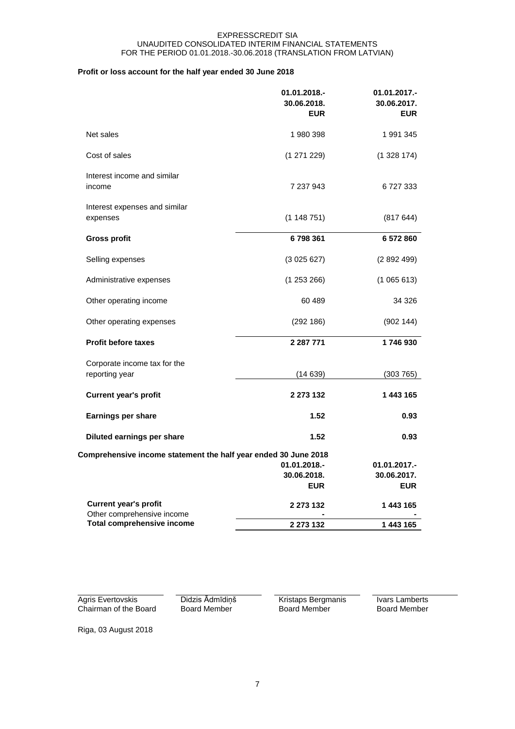# **Profit or loss account for the half year ended 30 June 2018**

|                                                                 | 01.01.2018.-<br>30.06.2018.<br><b>EUR</b> | 01.01.2017.-<br>30.06.2017.<br><b>EUR</b> |
|-----------------------------------------------------------------|-------------------------------------------|-------------------------------------------|
| Net sales                                                       | 1980398                                   | 1991345                                   |
| Cost of sales                                                   | (1271229)                                 | (1328174)                                 |
| Interest income and similar<br>income                           | 7 237 943                                 | 6727333                                   |
| Interest expenses and similar<br>expenses                       | (1148751)                                 | (817644)                                  |
| <b>Gross profit</b>                                             | 6798361                                   | 6 572 860                                 |
| Selling expenses                                                | (3025627)                                 | (2892499)                                 |
| Administrative expenses                                         | (1253266)                                 | (1065613)                                 |
| Other operating income                                          | 60 489                                    | 34 3 26                                   |
| Other operating expenses                                        | (292186)                                  | (902144)                                  |
| <b>Profit before taxes</b>                                      | 2 2 8 7 7 7 1                             | 1746930                                   |
| Corporate income tax for the<br>reporting year                  | (14639)                                   | (303765)                                  |
| <b>Current year's profit</b>                                    | 2 273 132                                 | 1 443 165                                 |
| Earnings per share                                              | 1.52                                      | 0.93                                      |
| Diluted earnings per share                                      | 1.52                                      | 0.93                                      |
| Comprehensive income statement the half year ended 30 June 2018 |                                           |                                           |
|                                                                 | 01.01.2018.-                              | 01.01.2017.-                              |
|                                                                 | 30.06.2018.<br><b>EUR</b>                 | 30.06.2017.<br><b>EUR</b>                 |
| <b>Current year's profit</b><br>Other comprehensive income      | 2 273 132                                 | 1443165                                   |
| <b>Total comprehensive income</b>                               | 2 273 132                                 | 1 443 165                                 |

Agris Evertovskis Chairman of the Board Didzis Ādmīdiņš Board Member

Kristaps Bergmanis Board Member

Ivars Lamberts Board Member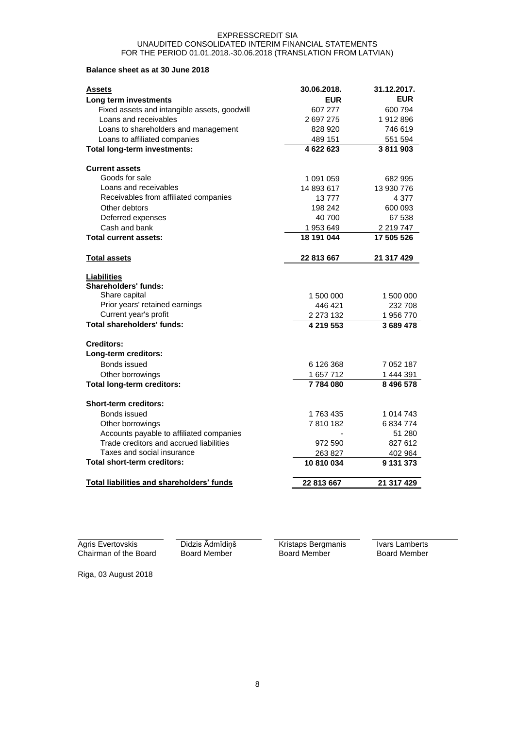# **Balance sheet as at 30 June 2018**

| Assets                                       | 30.06.2018. | 31.12.2017. |
|----------------------------------------------|-------------|-------------|
| Long term investments                        | <b>EUR</b>  | <b>EUR</b>  |
| Fixed assets and intangible assets, goodwill | 607 277     | 600 794     |
| Loans and receivables                        | 2 697 275   | 1912896     |
| Loans to shareholders and management         | 828 920     | 746 619     |
| Loans to affiliated companies                | 489 151     | 551 594     |
| <b>Total long-term investments:</b>          | 4 622 623   | 3811903     |
| <b>Current assets</b>                        |             |             |
| Goods for sale                               | 1 091 059   | 682 995     |
| Loans and receivables                        | 14 893 617  | 13 930 776  |
| Receivables from affiliated companies        | 13777       | 4 3 7 7     |
| Other debtors                                | 198 242     | 600 093     |
| Deferred expenses                            | 40 700      | 67 538      |
| Cash and bank                                | 1 953 649   | 2 219 747   |
| <b>Total current assets:</b>                 | 18 191 044  | 17 505 526  |
| <b>Total assets</b>                          | 22 813 667  | 21 317 429  |
| Liabilities                                  |             |             |
| Shareholders' funds:                         |             |             |
| Share capital                                | 1 500 000   | 1 500 000   |
| Prior years' retained earnings               | 446 421     | 232 708     |
| Current year's profit                        | 2 273 132   | 1956770     |
| <b>Total shareholders' funds:</b>            | 4 219 553   | 3 689 478   |
| Creditors:                                   |             |             |
| Long-term creditors:                         |             |             |
| Bonds issued                                 | 6 126 368   | 7 052 187   |
| Other borrowings                             | 1 657 712   | 1 444 391   |
| <b>Total long-term creditors:</b>            | 7784080     | 8 496 578   |
| <b>Short-term creditors:</b>                 |             |             |
| Bonds issued                                 | 1763435     | 1 014 743   |
| Other borrowings                             | 7810182     | 6 834 774   |
| Accounts payable to affiliated companies     |             | 51 280      |
| Trade creditors and accrued liabilities      | 972 590     | 827 612     |
| Taxes and social insurance                   | 263 827     | 402 964     |
| <b>Total short-term creditors:</b>           | 10810034    | 9 131 373   |
| Total liabilities and shareholders' funds    | 22 813 667  | 21 317 429  |

Agris Evertovskis Chairman of the Board

Didzis Ādmīdiņš Board Member

Kristaps Bergmanis Board Member

Ivars Lamberts Board Member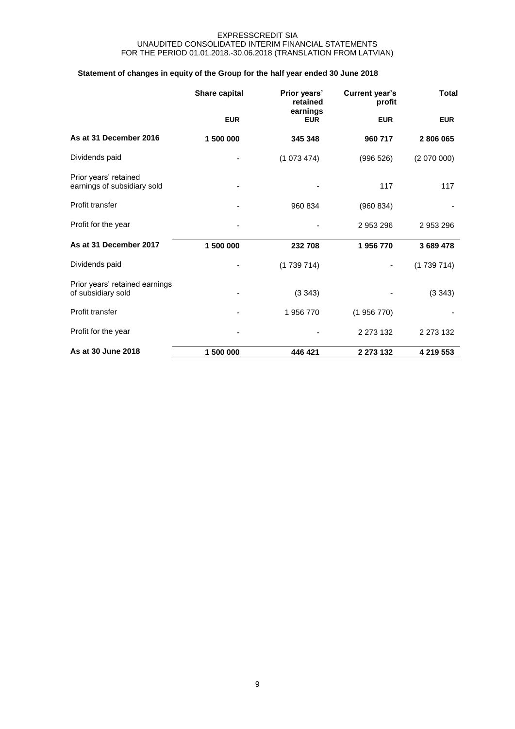# **Statement of changes in equity of the Group for the half year ended 30 June 2018**

|                                                      | Share capital<br>Prior years'<br>retained |                        | <b>Current year's</b><br>profit | <b>Total</b> |  |
|------------------------------------------------------|-------------------------------------------|------------------------|---------------------------------|--------------|--|
|                                                      | <b>EUR</b>                                | earnings<br><b>EUR</b> | <b>EUR</b>                      | <b>EUR</b>   |  |
| As at 31 December 2016                               | 1 500 000                                 | 345 348                | 960 717                         | 2806065      |  |
| Dividends paid                                       |                                           | (1073474)              | (996 526)                       | (2070000)    |  |
| Prior years' retained<br>earnings of subsidiary sold |                                           |                        | 117                             | 117          |  |
| Profit transfer                                      |                                           | 960 834                | (960 834)                       |              |  |
| Profit for the year                                  |                                           |                        | 2953296                         | 2 953 296    |  |
| As at 31 December 2017                               | 1 500 000                                 | 232 708                | 1956770                         | 3 689 478    |  |
| Dividends paid                                       |                                           | (1739714)              |                                 | (1739714)    |  |
| Prior years' retained earnings<br>of subsidiary sold |                                           | (3 343)                |                                 | (3343)       |  |
| Profit transfer                                      |                                           | 1956770                | (1956770)                       |              |  |
| Profit for the year                                  |                                           |                        | 2 2 7 3 1 3 2                   | 2 273 132    |  |
| As at 30 June 2018                                   | 1 500 000                                 | 446 421                | 2 273 132                       | 4 219 553    |  |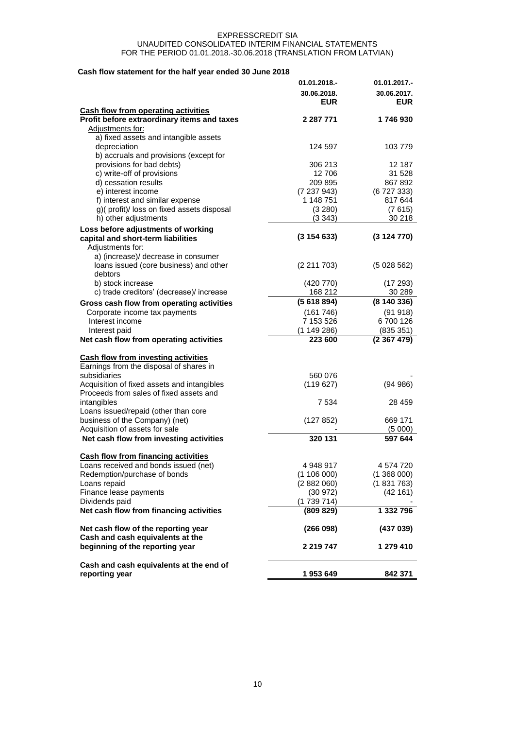# **Cash flow statement for the half year ended 30 June 2018**

|                                             | 01.01.2018.- | 01.01.2017.- |
|---------------------------------------------|--------------|--------------|
|                                             | 30.06.2018.  | 30.06.2017.  |
|                                             | <b>EUR</b>   | <b>EUR</b>   |
| <b>Cash flow from operating activities</b>  |              |              |
| Profit before extraordinary items and taxes | 2 287 771    | 1746930      |
| Adjustments for:                            |              |              |
| a) fixed assets and intangible assets       |              |              |
| depreciation                                | 124 597      | 103 779      |
| b) accruals and provisions (except for      |              |              |
| provisions for bad debts)                   | 306 213      | 12 187       |
| c) write-off of provisions                  | 12 706       | 31 528       |
| d) cessation results                        | 209 895      | 867 892      |
| e) interest income                          | (7237943)    | (6727333)    |
| f) interest and similar expense             | 1 148 751    | 817 644      |
| g)(profit)/loss on fixed assets disposal    | (3 280)      | (7615)       |
| h) other adjustments                        | (3343)       | 30 218       |
| Loss before adjustments of working          |              |              |
| capital and short-term liabilities          | (3154633)    | (3124770)    |
| Adjustments for:                            |              |              |
| a) (increase)/ decrease in consumer         |              |              |
| loans issued (core business) and other      | (2 211 703)  | (5028562)    |
| debtors                                     |              |              |
| b) stock increase                           | (420 770)    | (17293)      |
| c) trade creditors' (decrease)/ increase    | 168 212      | 30 289       |
| Gross cash flow from operating activities   | (5618894)    | (8140336)    |
| Corporate income tax payments               | (161746)     | (91918)      |
| Interest income                             | 7 153 526    | 6700126      |
| Interest paid                               | (1149286)    | (835 351)    |
| Net cash flow from operating activities     | 223 600      | (2367479)    |
|                                             |              |              |
| <b>Cash flow from investing activities</b>  |              |              |
| Earnings from the disposal of shares in     |              |              |
| subsidiaries                                | 560 076      |              |
| Acquisition of fixed assets and intangibles | (119627)     | (94986)      |
| Proceeds from sales of fixed assets and     |              |              |
| intangibles                                 | 7 534        | 28 459       |
| Loans issued/repaid (other than core        |              |              |
| business of the Company) (net)              | (127 852)    | 669 171      |
| Acquisition of assets for sale              |              | (5000)       |
| Net cash flow from investing activities     | 320 131      | 597 644      |
|                                             |              |              |
| <b>Cash flow from financing activities</b>  |              |              |
| Loans received and bonds issued (net)       | 4 948 917    | 4 574 720    |
| Redemption/purchase of bonds                | (1106000)    | (1368000)    |
| Loans repaid                                | (2882060)    | (1831763)    |
| Finance lease payments                      | (30972)      | (42161)      |
| Dividends paid                              | (1739714)    |              |
| Net cash flow from financing activities     | (809 829)    | 1 332 796    |
|                                             |              |              |
| Net cash flow of the reporting year         | (266098)     | (437039)     |
| Cash and cash equivalents at the            |              |              |
| beginning of the reporting year             | 2 219 747    | 1 279 410    |
|                                             |              |              |
| Cash and cash equivalents at the end of     |              |              |
| reporting year                              | 1953649      | 842 371      |
|                                             |              |              |